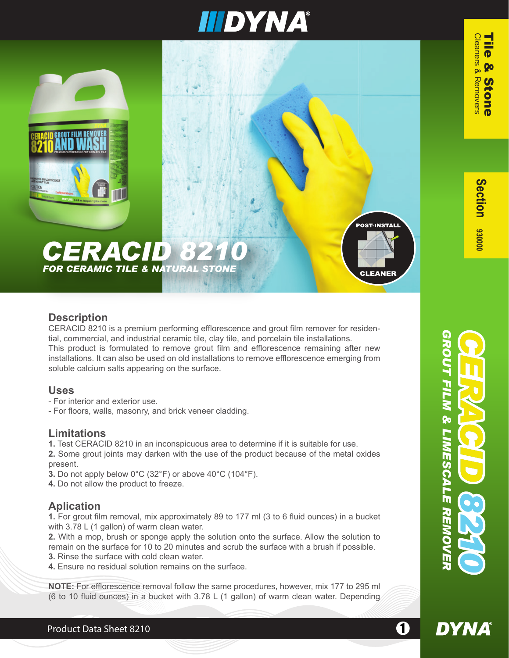## IIIDYNA®



#### **Description**

CERACID 8210 is a premium performing efflorescence and grout film remover for residential, commercial, and industrial ceramic tile, clay tile, and porcelain tile installations. This product is formulated to remove grout film and efflorescence remaining after new installations. It can also be used on old installations to remove efflorescence emerging from soluble calcium salts appearing on the surface.

#### **Uses**

- For interior and exterior use.
- For floors, walls, masonry, and brick veneer cladding.

### **Limitations**

- **1.** Test CERACID 8210 in an inconspicuous area to determine if it is suitable for use.
- **2.** Some grout joints may darken with the use of the product because of the metal oxides present.
- **3.** Do not apply below 0°C (32°F) or above 40°C (104°F).
- **4.** Do not allow the product to freeze.

### **Aplication**

**1.** For grout film removal, mix approximately 89 to 177 ml (3 to 6 fluid ounces) in a bucket with 3.78 L (1 gallon) of warm clean water.

**2.** With a mop, brush or sponge apply the solution onto the surface. Allow the solution to remain on the surface for 10 to 20 minutes and scrub the surface with a brush if possible. **3.** Rinse the surface with cold clean water.

- 
- **4.** Ensure no residual solution remains on the surface.

**NOTE:** For efflorescence removal follow the same procedures, however, mix 177 to 295 ml (6 to 10 fluid ounces) in a bucket with 3.78 L (1 gallon) of warm clean water. Depending

**DYNA**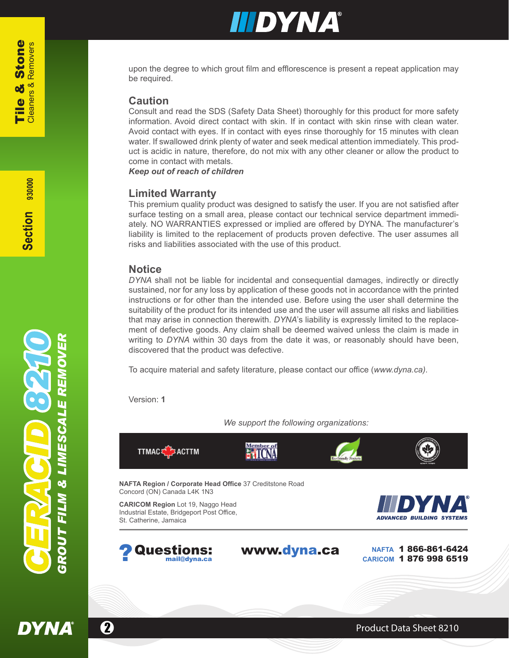### IIIDYNA®

upon the degree to which grout film and efflorescence is present a repeat application may be required.

#### **Caution**

Consult and read the SDS (Safety Data Sheet) thoroughly for this product for more safety information. Avoid direct contact with skin. If in contact with skin rinse with clean water. Avoid contact with eyes. If in contact with eyes rinse thoroughly for 15 minutes with clean water. If swallowed drink plenty of water and seek medical attention immediately. This product is acidic in nature, therefore, do not mix with any other cleaner or allow the product to come in contact with metals.

*Keep out of reach of children*

#### **Limited Warranty**

This premium quality product was designed to satisfy the user. If you are not satisfied after surface testing on a small area, please contact our technical service department immediately. NO WARRANTIES expressed or implied are offered by DYNA. The manufacturer's liability is limited to the replacement of products proven defective. The user assumes all risks and liabilities associated with the use of this product.

#### **Notice**

*DYNA* shall not be liable for incidental and consequential damages, indirectly or directly sustained, nor for any loss by application of these goods not in accordance with the printed instructions or for other than the intended use. Before using the user shall determine the suitability of the product for its intended use and the user will assume all risks and liabilities that may arise in connection therewith. *DYNA*'s liability is expressly limited to the replacement of defective goods. Any claim shall be deemed waived unless the claim is made in writing to *DYNA* within 30 days from the date it was, or reasonably should have been, discovered that the product was defective.

To acquire material and safety literature, please contact our office (*www.dyna.ca).*

Version: **1**

*We support the following organizations:*



**DYNA** 

**2 Product Data Sheet 8210**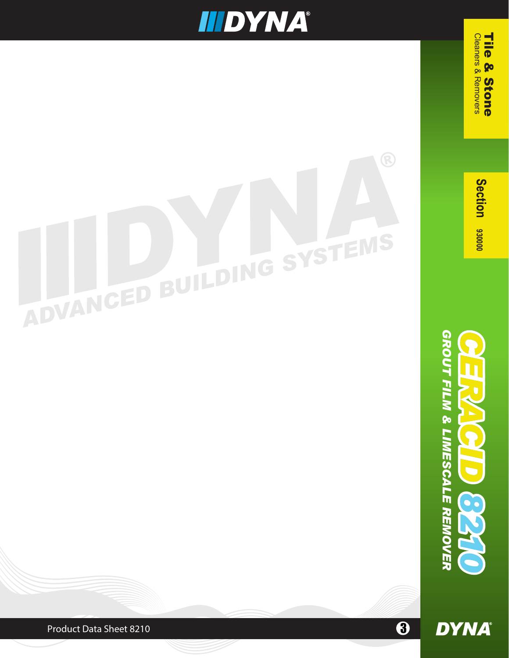## **IIIDYNA®**

# SYSTEMS ADVANCED BUILDING

Section 930000

 Cleaners & Removers Tile & Stone

**Cleaners & Removers** 

Tile

& Stone

GROUT FILM & LIMESCALE REMOVER *GROUT FILM & LIMESCALE REMOVER* **DYNA** 

8

 $\ddot{\boldsymbol{\theta}}$ 

Product Data Sheet 8210